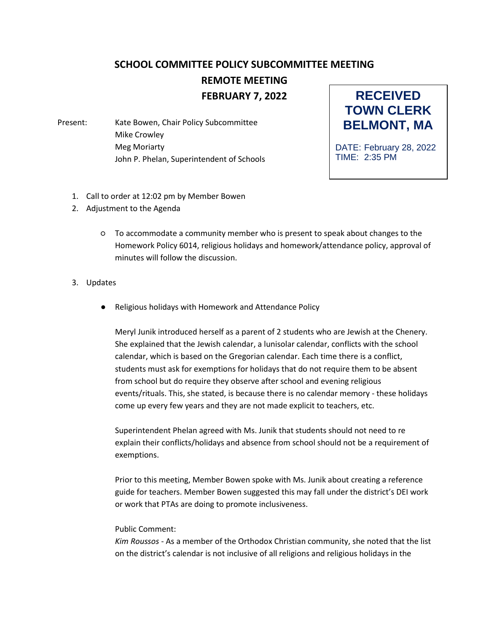## **SCHOOL COMMITTEE POLICY SUBCOMMITTEE MEETING REMOTE MEETING FEBRUARY 7, 2022**

Present: Kate Bowen, Chair Policy Subcommittee Mike Crowley Meg Moriarty John P. Phelan, Superintendent of Schools



DATE: February 28, 2022 TIME: 2:35 PM

- 1. Call to order at 12:02 pm by Member Bowen
- 2. Adjustment to the Agenda
	- To accommodate a community member who is present to speak about changes to the Homework Policy 6014, religious holidays and homework/attendance policy, approval of minutes will follow the discussion.
- 3. Updates
	- Religious holidays with Homework and Attendance Policy

Meryl Junik introduced herself as a parent of 2 students who are Jewish at the Chenery. She explained that the Jewish calendar, a lunisolar calendar, conflicts with the school calendar, which is based on the Gregorian calendar. Each time there is a conflict, students must ask for exemptions for holidays that do not require them to be absent from school but do require they observe after school and evening religious events/rituals. This, she stated, is because there is no calendar memory - these holidays come up every few years and they are not made explicit to teachers, etc.

Superintendent Phelan agreed with Ms. Junik that students should not need to re explain their conflicts/holidays and absence from school should not be a requirement of exemptions.

Prior to this meeting, Member Bowen spoke with Ms. Junik about creating a reference guide for teachers. Member Bowen suggested this may fall under the district's DEI work or work that PTAs are doing to promote inclusiveness.

## Public Comment:

*Kim Roussos* - As a member of the Orthodox Christian community, she noted that the list on the district's calendar is not inclusive of all religions and religious holidays in the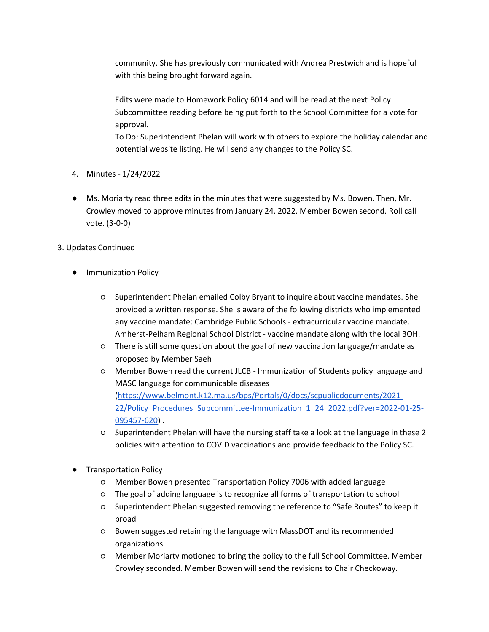community. She has previously communicated with Andrea Prestwich and is hopeful with this being brought forward again.

Edits were made to Homework Policy 6014 and will be read at the next Policy Subcommittee reading before being put forth to the School Committee for a vote for approval.

To Do: Superintendent Phelan will work with others to explore the holiday calendar and potential website listing. He will send any changes to the Policy SC.

- 4. Minutes 1/24/2022
- Ms. Moriarty read three edits in the minutes that were suggested by Ms. Bowen. Then, Mr. Crowley moved to approve minutes from January 24, 2022. Member Bowen second. Roll call vote. (3-0-0)

## 3. Updates Continued

- Immunization Policy
	- Superintendent Phelan emailed Colby Bryant to inquire about vaccine mandates. She provided a written response. She is aware of the following districts who implemented any vaccine mandate: Cambridge Public Schools - extracurricular vaccine mandate. Amherst-Pelham Regional School District - vaccine mandate along with the local BOH.
	- There is still some question about the goal of new vaccination language/mandate as proposed by Member Saeh
	- Member Bowen read the current JLCB Immunization of Students policy language and MASC language for communicable diseases [\(https://www.belmont.k12.ma.us/bps/Portals/0/docs/scpublicdocuments/2021-](https://www.belmont.k12.ma.us/bps/Portals/0/docs/scpublicdocuments/2021-22/Policy_Procedures_Subcommittee-Immunization_1_24_2022.pdf?ver=2022-01-25-095457-620) 22/Policy Procedures Subcommittee-Immunization 1 24 2022.pdf?ver=2022-01-25-[095457-620\)](https://www.belmont.k12.ma.us/bps/Portals/0/docs/scpublicdocuments/2021-22/Policy_Procedures_Subcommittee-Immunization_1_24_2022.pdf?ver=2022-01-25-095457-620) .
	- Superintendent Phelan will have the nursing staff take a look at the language in these 2 policies with attention to COVID vaccinations and provide feedback to the Policy SC.
- **Transportation Policy** 
	- Member Bowen presented Transportation Policy 7006 with added language
	- The goal of adding language is to recognize all forms of transportation to school
	- Superintendent Phelan suggested removing the reference to "Safe Routes" to keep it broad
	- Bowen suggested retaining the language with MassDOT and its recommended organizations
	- Member Moriarty motioned to bring the policy to the full School Committee. Member Crowley seconded. Member Bowen will send the revisions to Chair Checkoway.